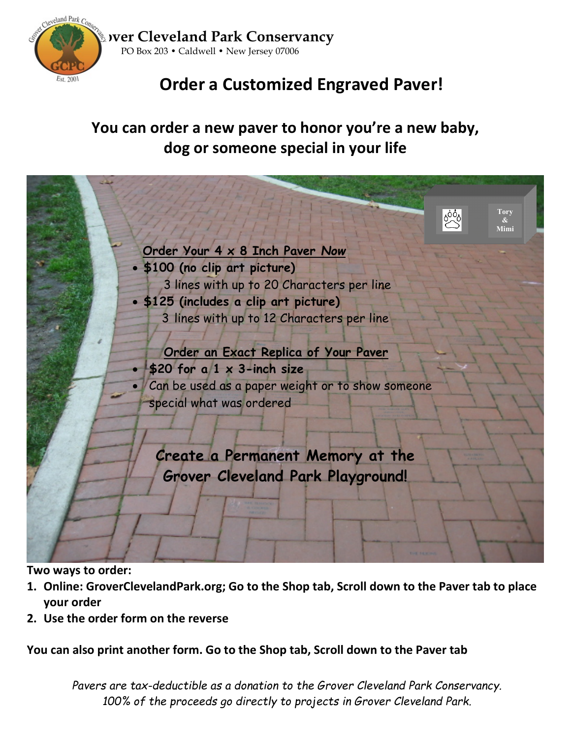

**Grover Cleveland Park Conservancy** PO Box 203 • Caldwell • New Jersey 07006

# **Order a Customized Engraved Paver!**

## **You can order a new paver to honor you're a new baby, dog or someone special in your life**



**Two ways to order:**

- **1. Online: GroverClevelandPark.org; Go to the Shop tab, Scroll down to the Paver tab to place your order**
- **2. Use the order form on the reverse**

## **You can also print another form. Go to the Shop tab, Scroll down to the Paver tab**

*Pavers are tax-deductible as a donation to the Grover Cleveland Park Conservancy. 100% of the proceeds go directly to projects in Grover Cleveland Park.*